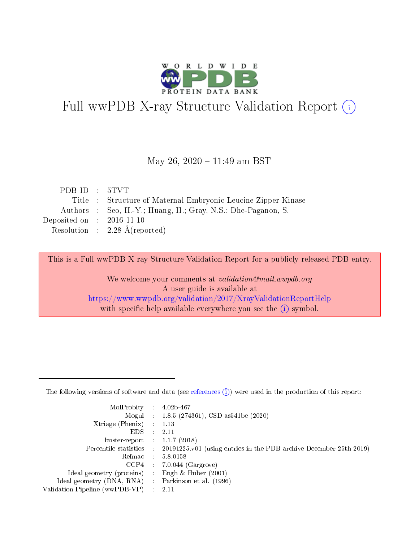

# Full wwPDB X-ray Structure Validation Report (i)

### May 26,  $2020 - 11:49$  am BST

| PDB ID $: 5TVT$                      |                                                               |
|--------------------------------------|---------------------------------------------------------------|
|                                      | Title : Structure of Maternal Embryonic Leucine Zipper Kinase |
|                                      | Authors : Seo, H.-Y.; Huang, H.; Gray, N.S.; Dhe-Paganon, S.  |
| Deposited on $\therefore$ 2016-11-10 |                                                               |
|                                      | Resolution : $2.28 \text{ Å}$ (reported)                      |
|                                      |                                                               |

This is a Full wwPDB X-ray Structure Validation Report for a publicly released PDB entry.

We welcome your comments at validation@mail.wwpdb.org A user guide is available at <https://www.wwpdb.org/validation/2017/XrayValidationReportHelp> with specific help available everywhere you see the  $(i)$  symbol.

The following versions of software and data (see [references](https://www.wwpdb.org/validation/2017/XrayValidationReportHelp#references)  $(1)$ ) were used in the production of this report:

| MolProbity :                   |               | $4.02b - 467$                                                               |
|--------------------------------|---------------|-----------------------------------------------------------------------------|
|                                |               | Mogul : $1.8.5$ (274361), CSD as 541be (2020)                               |
| $X$ triage (Phenix) :          |               | 1.13                                                                        |
| EDS.                           |               | 2.11                                                                        |
| buster-report : $1.1.7$ (2018) |               |                                                                             |
| Percentile statistics :        |               | $20191225 \text{v}01$ (using entries in the PDB archive December 25th 2019) |
| Refmac :                       |               | 5.8.0158                                                                    |
| $CCP4$ :                       |               | $7.0.044$ (Gargrove)                                                        |
| Ideal geometry (proteins) :    |               | Engh $\&$ Huber (2001)                                                      |
| Ideal geometry (DNA, RNA) :    |               | Parkinson et al. (1996)                                                     |
| Validation Pipeline (wwPDB-VP) | $\mathcal{L}$ | 2.11                                                                        |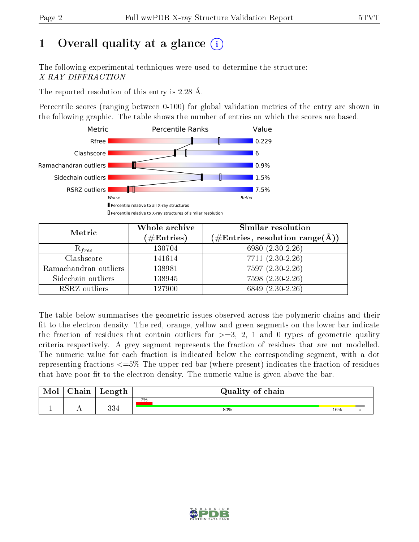# 1 [O](https://www.wwpdb.org/validation/2017/XrayValidationReportHelp#overall_quality)verall quality at a glance  $(i)$

The following experimental techniques were used to determine the structure: X-RAY DIFFRACTION

The reported resolution of this entry is 2.28 Å.

Percentile scores (ranging between 0-100) for global validation metrics of the entry are shown in the following graphic. The table shows the number of entries on which the scores are based.



| Metric                | Whole archive<br>$(\#\mathrm{Entries})$ | Similar resolution<br>$(\#\text{Entries},\,\text{resolution}\,\,\text{range}(\textup{\AA}))$ |
|-----------------------|-----------------------------------------|----------------------------------------------------------------------------------------------|
| $R_{free}$            | 130704                                  | 6980 (2.30-2.26)                                                                             |
| Clashscore            | 141614                                  | $7711 (2.30 - 2.26)$                                                                         |
| Ramachandran outliers | 138981                                  | $7597(2.30-2.26)$                                                                            |
| Sidechain outliers    | 138945                                  | 7598 (2.30-2.26)                                                                             |
| RSRZ outliers         | 127900                                  | 6849 (2.30-2.26)                                                                             |

The table below summarises the geometric issues observed across the polymeric chains and their fit to the electron density. The red, orange, yellow and green segments on the lower bar indicate the fraction of residues that contain outliers for  $>=3, 2, 1$  and 0 types of geometric quality criteria respectively. A grey segment represents the fraction of residues that are not modelled. The numeric value for each fraction is indicated below the corresponding segment, with a dot representing fractions  $\epsilon=5\%$  The upper red bar (where present) indicates the fraction of residues that have poor fit to the electron density. The numeric value is given above the bar.

| Mol       | $\sim$ $\sim$<br>hain | Length      | Quality of chain |     |  |  |  |  |
|-----------|-----------------------|-------------|------------------|-----|--|--|--|--|
|           |                       |             | 7%               |     |  |  |  |  |
| <u>д.</u> | . .                   | 99 A<br>りつー | 80%              | 16% |  |  |  |  |

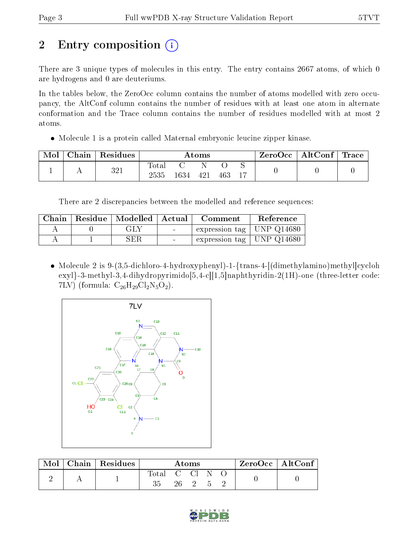# 2 Entry composition  $\left( \cdot \right)$

There are 3 unique types of molecules in this entry. The entry contains 2667 atoms, of which 0 are hydrogens and 0 are deuteriums.

In the tables below, the ZeroOcc column contains the number of atoms modelled with zero occupancy, the AltConf column contains the number of residues with at least one atom in alternate conformation and the Trace column contains the number of residues modelled with at most 2 atoms.

• Molecule 1 is a protein called Maternal embryonic leucine zipper kinase.

| Mol | $\perp$ Chain $^+$ | $\mid$ Residues | Atoms         |      |     |     |  | ZeroOcc∣ | $\mid$ AltConf $\mid$ Trace |  |
|-----|--------------------|-----------------|---------------|------|-----|-----|--|----------|-----------------------------|--|
|     |                    | 321             | Totar<br>2535 | 1634 | 421 | 463 |  |          |                             |  |

There are 2 discrepancies between the modelled and reference sequences:

| Chain | Residue   Modelled   Actual |                          | Comment                       | Reference |
|-------|-----------------------------|--------------------------|-------------------------------|-----------|
|       | GLY                         | <b>Contract Contract</b> | expression tag   UNP $Q14680$ |           |
|       | SER                         |                          | expression tag   UNP $Q14680$ |           |

• Molecule 2 is 9-(3,5-dichloro-4-hydroxyphenyl)-1-{trans-4-[(dimethylamino)methyl]cycloh exyl}-3-methyl-3,4-dihydropyrimido[5,4-c][1,5]naphthyridin-2(1H)-one (three-letter code: 7LV) (formula:  $C_{26}H_{29}Cl_2N_5O_2$ ).



| Mol | Chain   Residues | Atoms          |  |        | $\mathsf{ZeroOcc} \mid \mathsf{AltConf} \mid$ |  |  |  |
|-----|------------------|----------------|--|--------|-----------------------------------------------|--|--|--|
|     |                  | Total C Cl N O |  | 26 2 5 |                                               |  |  |  |

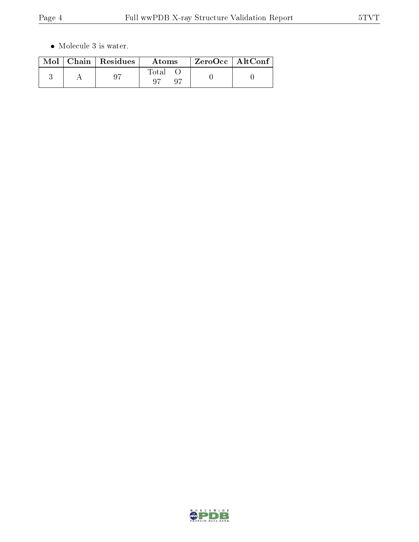$\bullet\,$  Molecule 3 is water.

|  | $Mol$   Chain   Residues | Atoms | $ZeroOcc \mid AltConf \mid$ |
|--|--------------------------|-------|-----------------------------|
|  | -97                      | Total |                             |

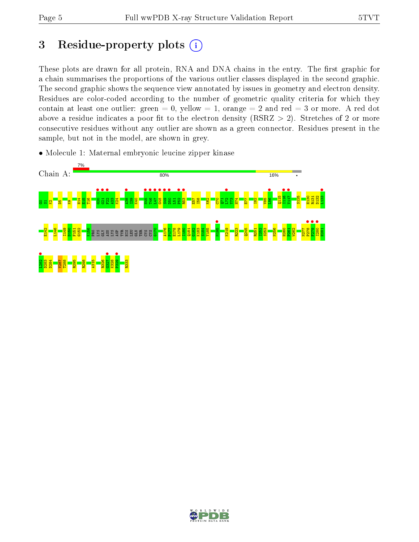# 3 Residue-property plots  $(i)$

These plots are drawn for all protein, RNA and DNA chains in the entry. The first graphic for a chain summarises the proportions of the various outlier classes displayed in the second graphic. The second graphic shows the sequence view annotated by issues in geometry and electron density. Residues are color-coded according to the number of geometric quality criteria for which they contain at least one outlier: green  $= 0$ , yellow  $= 1$ , orange  $= 2$  and red  $= 3$  or more. A red dot above a residue indicates a poor fit to the electron density (RSRZ  $> 2$ ). Stretches of 2 or more consecutive residues without any outlier are shown as a green connector. Residues present in the sample, but not in the model, are shown in grey.

• Molecule 1: Maternal embryonic leucine zipper kinase



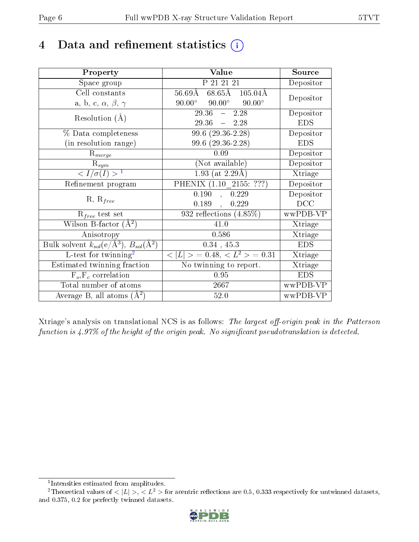## 4 Data and refinement statistics  $(i)$

| Property                                                             | Value                                             | Source     |
|----------------------------------------------------------------------|---------------------------------------------------|------------|
| Space group                                                          | P 21 21 21                                        | Depositor  |
| Cell constants                                                       | $68.65$ Å $105.04$ Å<br>$56.69\text{\AA}$         | Depositor  |
| a, b, c, $\alpha$ , $\beta$ , $\gamma$                               | $90.00^\circ$<br>$90.00^{\circ}$<br>$90.00^\circ$ |            |
| Resolution $(A)$                                                     | 29.36<br>2.28<br>$\frac{1}{2}$                    | Depositor  |
|                                                                      | $29.36 - 2.28$                                    | <b>EDS</b> |
| $\%$ Data completeness                                               | $99.6(29.36-2.28)$                                | Depositor  |
| (in resolution range)                                                | $99.6(29.36-2.28)$                                | <b>EDS</b> |
| $R_{merge}$                                                          | 0.09                                              | Depositor  |
| $\mathrm{R}_{sym}$                                                   | (Not available)                                   | Depositor  |
| $\sqrt{I/\sigma}(I) > 1$                                             | $1.93$ (at 2.29Å)                                 | Xtriage    |
| Refinement program                                                   | PHENIX $(1.10 \t 2155: ???)$                      | Depositor  |
|                                                                      | 0.190<br>, 0.229                                  | Depositor  |
| $R, R_{free}$                                                        | 0.189<br>0.229<br>$\mathcal{A}^{\mathcal{A}}$     | DCC        |
| $R_{free}$ test set                                                  | $932$ reflections $(4.85\%)$                      | wwPDB-VP   |
| Wilson B-factor $(A^2)$                                              | 41.0                                              | Xtriage    |
| Anisotropy                                                           | 0.586                                             | Xtriage    |
| Bulk solvent $k_{sol}(e/\mathring{A}^3)$ , $B_{sol}(\mathring{A}^2)$ | $0.34$ , 45.3                                     | <b>EDS</b> |
| L-test for $\overline{\text{twinning}}^2$                            | $< L >$ = 0.48, $< L2 >$ = 0.31                   | Xtriage    |
| Estimated twinning fraction                                          | No twinning to report.                            | Xtriage    |
| $\overline{F_o}, \overline{F_c}$ correlation                         | 0.95                                              | <b>EDS</b> |
| Total number of atoms                                                | 2667                                              | wwPDB-VP   |
| Average B, all atoms $(A^2)$                                         | 52.0                                              | wwPDB-VP   |

Xtriage's analysis on translational NCS is as follows: The largest off-origin peak in the Patterson function is  $4.97\%$  of the height of the origin peak. No significant pseudotranslation is detected.

<sup>&</sup>lt;sup>2</sup>Theoretical values of  $\langle |L| \rangle$ ,  $\langle L^2 \rangle$  for acentric reflections are 0.5, 0.333 respectively for untwinned datasets, and 0.375, 0.2 for perfectly twinned datasets.



<span id="page-5-1"></span><span id="page-5-0"></span><sup>1</sup> Intensities estimated from amplitudes.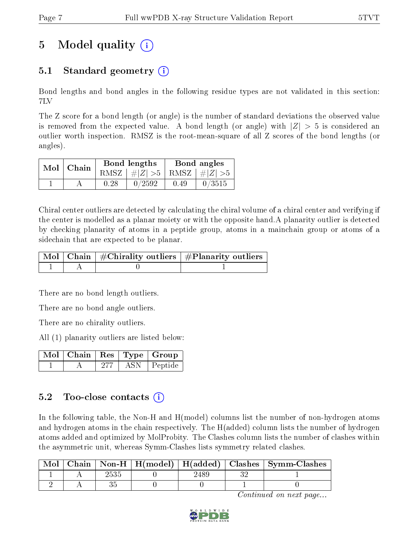# 5 Model quality  $(i)$

### 5.1 Standard geometry (i)

Bond lengths and bond angles in the following residue types are not validated in this section: 7LV

The Z score for a bond length (or angle) is the number of standard deviations the observed value is removed from the expected value. A bond length (or angle) with  $|Z| > 5$  is considered an outlier worth inspection. RMSZ is the root-mean-square of all Z scores of the bond lengths (or angles).

| $Mol$   Chain |      | Bond lengths                    | Bond angles |        |  |
|---------------|------|---------------------------------|-------------|--------|--|
|               |      | RMSZ $ #Z  > 5$ RMSZ $ #Z  > 5$ |             |        |  |
|               | 0.28 | 0/2592                          | 0.49        | 0/3515 |  |

Chiral center outliers are detected by calculating the chiral volume of a chiral center and verifying if the center is modelled as a planar moiety or with the opposite hand.A planarity outlier is detected by checking planarity of atoms in a peptide group, atoms in a mainchain group or atoms of a sidechain that are expected to be planar.

|  | $\mid$ Mol $\mid$ Chain $\mid$ #Chirality outliers $\mid$ #Planarity outliers $\mid$ |
|--|--------------------------------------------------------------------------------------|
|  |                                                                                      |

There are no bond length outliers.

There are no bond angle outliers.

There are no chirality outliers.

All (1) planarity outliers are listed below:

|  |      | $\blacksquare$ Mol $\vert$ Chain $\vert$ Res $\vert$ Type $\vert$ Group |
|--|------|-------------------------------------------------------------------------|
|  | ASN. | Peptide                                                                 |

### 5.2 Too-close contacts  $\overline{a}$

In the following table, the Non-H and H(model) columns list the number of non-hydrogen atoms and hydrogen atoms in the chain respectively. The H(added) column lists the number of hydrogen atoms added and optimized by MolProbity. The Clashes column lists the number of clashes within the asymmetric unit, whereas Symm-Clashes lists symmetry related clashes.

| $\operatorname{Mol}$ |  | Chain   Non-H   $H$ (model)   $H$ (added)   Clashes   Symm-Clashes |  |  |
|----------------------|--|--------------------------------------------------------------------|--|--|
|                      |  |                                                                    |  |  |
|                      |  |                                                                    |  |  |

Continued on next page...

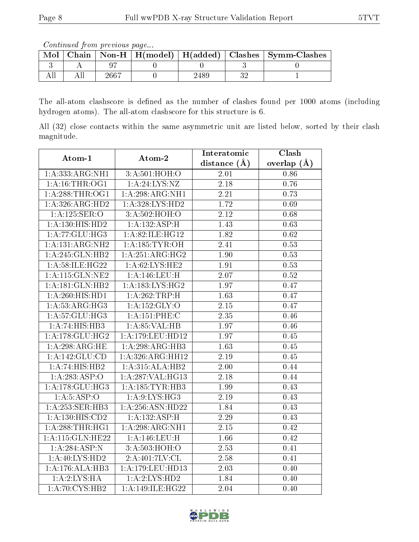Continued from previous page...

|  |      |  | Chain   Non-H   H(model)   H(added)   Clashes   Symm-Clashes |
|--|------|--|--------------------------------------------------------------|
|  |      |  |                                                              |
|  | 2667 |  |                                                              |

The all-atom clashscore is defined as the number of clashes found per 1000 atoms (including hydrogen atoms). The all-atom clashscore for this structure is 6.

All (32) close contacts within the same asymmetric unit are listed below, sorted by their clash magnitude.

| Atom-1              | Atom-2              | Interatomic       | Clash           |  |
|---------------------|---------------------|-------------------|-----------------|--|
|                     |                     | distance (Å)      | overlap $(\AA)$ |  |
| 1: A: 333:ARG:NH1   | 3:A:501:HOH:O       | 2.01              | 0.86            |  |
| 1: A:16:THR:OG1     | 1: A:24:LYS:NZ      | 2.18              | 0.76            |  |
| 1: A:288:THR:OG1    | 1:A:298:ARG:NH1     | 2.21              | 0.73            |  |
| 1:A:326:ARG:HD2     | 1:A:328:LYS:HD2     | 1.72              | 0.69            |  |
| 1: A:125: SER:O     | 3:A:502:HOH:O       | 2.12              | 0.68            |  |
| 1:A:130:HIS:HD2     | 1:A:132:ASP:H       | 1.43              | 0.63            |  |
| 1:A:77:GLU:HG3      | 1:A:82:ILE:HG12     | 1.82              | 0.62            |  |
| 1:A:131:ARG:NH2     | 1: A: 185: TYR: OH  | 2.41              | 0.53            |  |
| 1:A:245:GLN:HB2     | 1:A:251:ARG:HG2     | 1.90              | 0.53            |  |
| 1: A:58: ILE: HG22  | 1: A:62:LYS:HE2     | 1.91              | 0.53            |  |
| 1: A:115: GLN: NE2  | 1:A:146:LEU:H       | 2.07              | 0.52            |  |
| 1: A:181: GLN:HB2   | 1: A: 183: LYS: HG2 | 1.97              | 0.47            |  |
| 1:A:260:HIS:HD1     | 1:A:262:TRP:H       | 1.63              | 0.47            |  |
| 1:A:53:ARG:HG3      | 1:A:152:GLY:O       | 2.15              | 0.47            |  |
| 1: A:57: GLU:HG3    | 1: A: 151: PHE: C   | $\overline{2.35}$ | 0.46            |  |
| 1:A:74:HIS:HB3      | 1: A:85:VAL:HB      | 1.97              | 0.46            |  |
| 1: A:178: GLU:HG2   | 1:A:179:LEU:HD12    | 1.97              | 0.45            |  |
| 1:A:298:ARG:HE      | 1:A:298:ARG:HB3     | 1.63              | 0.45            |  |
| 1:A:142:GLU:CD      | 1: A:326: ARG: HH12 | 2.19              | 0.45            |  |
| 1:A:74:HIS:HB2      | 1:A:315:ALA:HB2     | 2.00              | 0.44            |  |
| 1: A:283:ASP:O      | 1:A:287:VAL:H G13   | 2.18              | 0.44            |  |
| 1:A:178:GLU:HG3     | 1: A: 185: TYR: HB3 | 1.99              | 0.43            |  |
| 1: A:5: ASP:O       | 1: A:9: LYS: HG3    | 2.19              | 0.43            |  |
| 1:A:253:SER:HB3     | 1:A:256:ASN:HD22    | 1.84              | 0.43            |  |
| 1: A: 130: HIS: CD2 | 1:A:132:ASP:H       | 2.29              | 0.43            |  |
| 1:A:288:THR:HGI     | 1:A:298:ARG:NH1     | 2.15              | 0.42            |  |
| 1:A:115:GLN:HE22    | 1:A:146:LEU:H       | 1.66              | 0.42            |  |
| 1:A:284:ASP:N       | 3: A:503:HOH:O      | 2.53              | 0.41            |  |
| 1:A:40:LYS:HD2      | 2:A:401:7LV:CL      | 2.58              | 0.41            |  |
| 1:A:176:ALA:HB3     | 1:A:179:LEU:HD13    | 2.03              | 0.40            |  |
| 1:A:2:LYS:HA        | 1:A:2:LYS:HD2       | 1.84              | 0.40            |  |
| 1: A:70: CYS:HB2    | 1:A:149:ILE:HG22    | 2.04              | 0.40            |  |

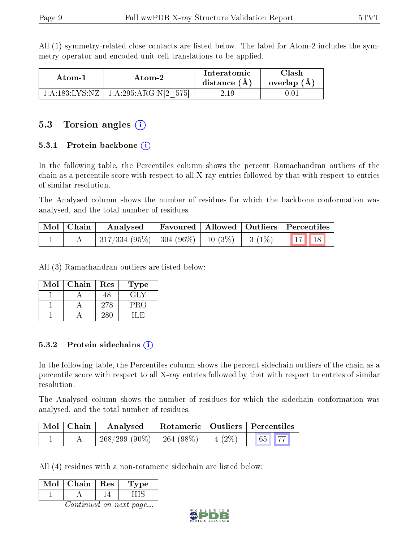All (1) symmetry-related close contacts are listed below. The label for Atom-2 includes the symmetry operator and encoded unit-cell translations to be applied.

| Atom-1 | Atom-2                                     | <b>Interatomic</b><br>distance $(A)$ | Clash<br>overlap $(A)$ |
|--------|--------------------------------------------|--------------------------------------|------------------------|
|        | $1:A:183:LYS:NZ \mid 1:A:295:ARG:N[2 575]$ | 2.19                                 | 1.01                   |

### 5.3 Torsion angles  $(i)$

#### 5.3.1 Protein backbone  $(i)$

In the following table, the Percentiles column shows the percent Ramachandran outliers of the chain as a percentile score with respect to all X-ray entries followed by that with respect to entries of similar resolution.

The Analysed column shows the number of residues for which the backbone conformation was analysed, and the total number of residues.

| Mol   Chain | Analysed                                                      |  | Favoured   Allowed   Outliers   Percentiles |  |
|-------------|---------------------------------------------------------------|--|---------------------------------------------|--|
|             | $\mid$ 317/334 (95%)   304 (96%)   10 (3%)   3 (1%)   17   18 |  |                                             |  |

All (3) Ramachandran outliers are listed below:

| Mol | Chain | Res | Type |
|-----|-------|-----|------|
|     |       | 48  | GIN  |
|     |       | 278 | PRO  |
|     |       | 280 |      |

#### 5.3.2 Protein sidechains  $\hat{1}$

In the following table, the Percentiles column shows the percent sidechain outliers of the chain as a percentile score with respect to all X-ray entries followed by that with respect to entries of similar resolution.

The Analysed column shows the number of residues for which the sidechain conformation was analysed, and the total number of residues.

| $\mid$ Mol $\mid$ Chain | Analysed        |            |          | Rotameric   Outliers   Percentiles |  |
|-------------------------|-----------------|------------|----------|------------------------------------|--|
|                         | $268/299(90\%)$ | 264 (98\%) | $4(2\%)$ | $65$ 77                            |  |

All (4) residues with a non-rotameric sidechain are listed below:

| √ിവ | Chain | Res | рe |
|-----|-------|-----|----|
|     |       |     |    |

Continued on next page...

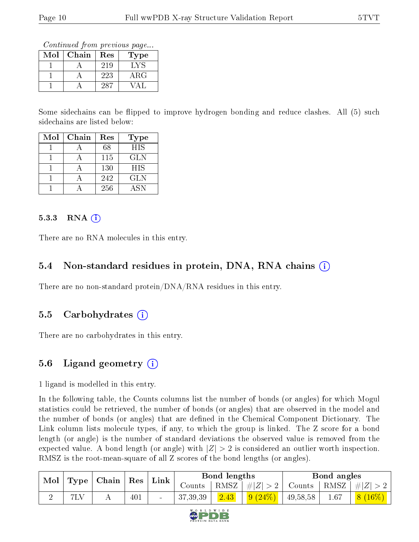Continued from previous page...

| Mol | Chain | Res | Type       |
|-----|-------|-----|------------|
|     |       | 219 | LVS        |
|     |       | 223 | $\rm{ARG}$ |
|     |       | :28 |            |

Some sidechains can be flipped to improve hydrogen bonding and reduce clashes. All (5) such sidechains are listed below:

| Mol | Chain | Res | <b>Type</b> |
|-----|-------|-----|-------------|
|     |       | 68  | <b>HIS</b>  |
|     |       | 115 | GLN         |
|     |       | 130 | <b>HIS</b>  |
|     |       | 242 | <b>GLN</b>  |
|     |       | 256 | <b>ASN</b>  |

#### 5.3.3 RNA  $(i)$

There are no RNA molecules in this entry.

#### 5.4 Non-standard residues in protein, DNA, RNA chains  $(i)$

There are no non-standard protein/DNA/RNA residues in this entry.

#### 5.5 Carbohydrates  $(i)$

There are no carbohydrates in this entry.

#### 5.6 Ligand geometry (i)

1 ligand is modelled in this entry.

In the following table, the Counts columns list the number of bonds (or angles) for which Mogul statistics could be retrieved, the number of bonds (or angles) that are observed in the model and the number of bonds (or angles) that are defined in the Chemical Component Dictionary. The Link column lists molecule types, if any, to which the group is linked. The Z score for a bond length (or angle) is the number of standard deviations the observed value is removed from the expected value. A bond length (or angle) with  $|Z| > 2$  is considered an outlier worth inspection. RMSZ is the root-mean-square of all Z scores of the bond lengths (or angles).

| Mol | Type <sub>1</sub> | $\mid$ Chain $\mid$  | $\vert$ Res | Link | Bond lengths |      |                     | Bond angles |      |                     |
|-----|-------------------|----------------------|-------------|------|--------------|------|---------------------|-------------|------|---------------------|
|     |                   |                      |             |      | Counts '     |      | $ RMSZ  \#  Z  > 2$ | Counts      |      | $ RMSZ  \#  Z  > 2$ |
|     | 7LV               | $\ddot{\phantom{1}}$ | 401         |      | 37,39,39     | 2.43 | 9(24%)              | 49,58,58    | 1.67 | $16\%$<br>8         |

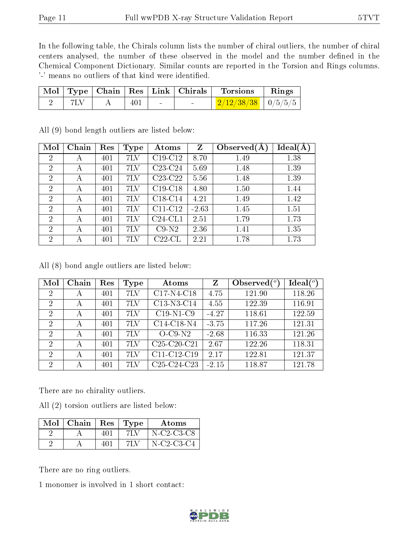In the following table, the Chirals column lists the number of chiral outliers, the number of chiral centers analysed, the number of these observed in the model and the number defined in the Chemical Component Dictionary. Similar counts are reported in the Torsion and Rings columns. '-' means no outliers of that kind were identified.

|  |     |  | Mol   Type   Chain   Res   Link   Chirals   Torsions   Rings |  |
|--|-----|--|--------------------------------------------------------------|--|
|  | 401 |  | $\frac{2}{12/38/38}$ $\frac{0}{5/5/5}$                       |  |

| Mol            | Chain | Res | Type | Atoms     | Z       | Observed $(A$ | Ideal(A |
|----------------|-------|-----|------|-----------|---------|---------------|---------|
| $\overline{2}$ | А     | 401 | 7LV  | $C19-C12$ | 8.70    | 1.49          | 1.38    |
| $\overline{2}$ | А     | 401 | 7LV  | $C23-C24$ | 5.69    | 1.48          | 1.39    |
| $\overline{2}$ | А     | 401 | 7LV  | $C23-C22$ | 5.56    | 1.48          | 1.39    |
| $\overline{2}$ | А     | 401 | 7LV  | $C19-C18$ | 4.80    | 1.50          | 1.44    |
| $\overline{2}$ | А     | 401 | 7LV  | $C18-C14$ | 4.21    | 1.49          | 1.42    |
| $\overline{2}$ | А     | 401 | 7LV  | $C11-C12$ | $-2.63$ | 1.45          | 1.51    |
| $\overline{2}$ | А     | 401 | 7LV  | $C24-CL1$ | 2.51    | 1.79          | 1.73    |
| $\overline{2}$ | А     | 401 | 7LV  | $C9-N2$   | 2.36    | 1.41          | 1.35    |
| $\overline{2}$ | А     | 401 | 7LV  | $C22$ -CL | 2.21    | 1.78          | 1.73    |

All (9) bond length outliers are listed below:

All (8) bond angle outliers are listed below:

| Mol                         | Chain | Res | Type | Atoms                                             | Z       | Observed $\binom{o}{c}$ | $Ideal(^o)$ |
|-----------------------------|-------|-----|------|---------------------------------------------------|---------|-------------------------|-------------|
| $\overline{2}$              | А     | 401 | 7LV  | $C17-N4-C18$                                      | 4.75    | 121.90                  | 118.26      |
| $\overline{2}$              | А     | 401 | 7LV  | C13-N3-C14                                        | 4.55    | 122.39                  | 116.91      |
| $\overline{2}$              | А     | 401 | 7LV  | $C19-N1-C9$                                       | $-4.27$ | 118.61                  | 122.59      |
| $\overline{2}$              | А     | 401 | 7LV  | $C14-C18-N4$                                      | $-3.75$ | 117.26                  | 121.31      |
| 2                           | А     | 401 | 7LV  | $O-C9-N2$                                         | $-2.68$ | 116.33                  | 121.26      |
| $\mathcal{D}_{\mathcal{L}}$ | А     | 401 | 7LV  | $C25-C20-C21$                                     | 2.67    | 122.26                  | 118.31      |
| $\mathcal{P}$               | А     | 401 | 7LV  | $C11-C12-C19$                                     | 2.17    | 122.81                  | 121.37      |
| 2                           | А     | 401 | 7LV  | C <sub>25</sub> -C <sub>24</sub> -C <sub>23</sub> | $-2.15$ | 118.87                  | 121.78      |

There are no chirality outliers.

All (2) torsion outliers are listed below:

| Mol | Chain | Res <sup>1</sup> | $\vert$ Type | Atoms        |
|-----|-------|------------------|--------------|--------------|
|     |       | 401              | 7LV          | $N-C2-C3-C8$ |
|     |       | 401              |              | N-C2-C3-C4   |

There are no ring outliers.

1 monomer is involved in 1 short contact:

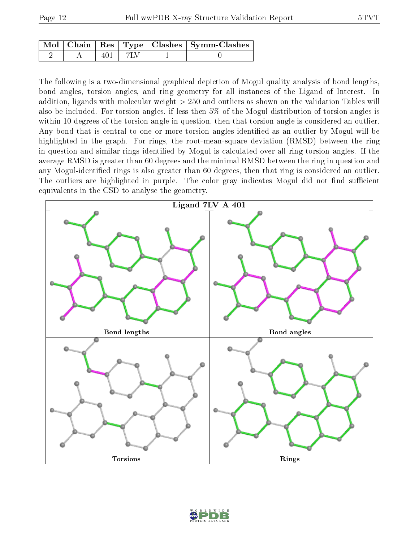|  |       | Mol   Chain   Res   Type   Clashes   Symm-Clashes |
|--|-------|---------------------------------------------------|
|  | 1 7LV |                                                   |

The following is a two-dimensional graphical depiction of Mogul quality analysis of bond lengths, bond angles, torsion angles, and ring geometry for all instances of the Ligand of Interest. In addition, ligands with molecular weight > 250 and outliers as shown on the validation Tables will also be included. For torsion angles, if less then 5% of the Mogul distribution of torsion angles is within 10 degrees of the torsion angle in question, then that torsion angle is considered an outlier. Any bond that is central to one or more torsion angles identified as an outlier by Mogul will be highlighted in the graph. For rings, the root-mean-square deviation (RMSD) between the ring in question and similar rings identified by Mogul is calculated over all ring torsion angles. If the average RMSD is greater than 60 degrees and the minimal RMSD between the ring in question and any Mogul-identified rings is also greater than 60 degrees, then that ring is considered an outlier. The outliers are highlighted in purple. The color gray indicates Mogul did not find sufficient equivalents in the CSD to analyse the geometry.



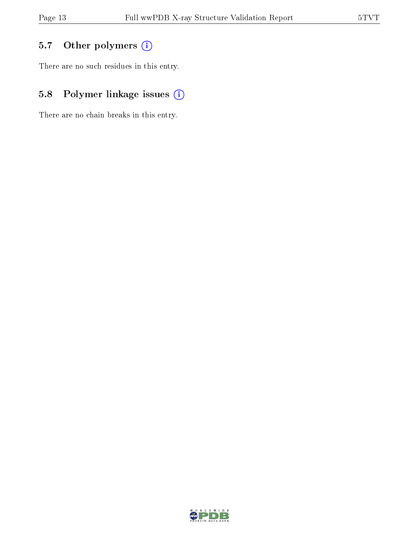## 5.7 [O](https://www.wwpdb.org/validation/2017/XrayValidationReportHelp#nonstandard_residues_and_ligands)ther polymers (i)

There are no such residues in this entry.

## 5.8 Polymer linkage issues (i)

There are no chain breaks in this entry.

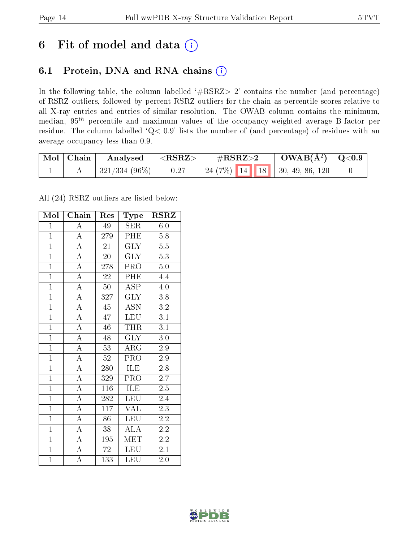## 6 Fit of model and data  $(i)$

### 6.1 Protein, DNA and RNA chains  $(i)$

In the following table, the column labelled  $#RSRZ> 2'$  contains the number (and percentage) of RSRZ outliers, followed by percent RSRZ outliers for the chain as percentile scores relative to all X-ray entries and entries of similar resolution. The OWAB column contains the minimum, median,  $95<sup>th</sup>$  percentile and maximum values of the occupancy-weighted average B-factor per residue. The column labelled ' $Q< 0.9$ ' lists the number of (and percentage) of residues with an average occupancy less than 0.9.

| $\vert$ Mol $\vert$ Chain | Analysed          | $^+$ <rsrz> .</rsrz> | $\#\text{RSRZ}\text{>2}$ | $\rm_{OMAB(A^2)}$   Q<0.9            |  |
|---------------------------|-------------------|----------------------|--------------------------|--------------------------------------|--|
|                           | $ 321/334(96\%) $ | 0.27                 |                          | $\mid$ 24 (7%) 14 18 30, 49, 86, 120 |  |

All (24) RSRZ outliers are listed below:

| Mol            | Chain              | Res              | Type                    | <b>RSRZ</b>      |
|----------------|--------------------|------------------|-------------------------|------------------|
| $\mathbf{1}$   | А                  | 49               | <b>SER</b>              | 6.0              |
| $\mathbf{1}$   | $\overline{A}$     | 279              | PHE                     | 5.8              |
| $\overline{1}$ | $\overline{A}$     | 21               | $\overline{\text{GLY}}$ | $5.5\,$          |
| $\overline{1}$ | $\overline{A}$     | 20               | $\overline{\text{GLY}}$ | 5.3              |
| $\overline{1}$ | $\overline{A}$     | 278              | $\overline{\text{PRO}}$ | $5.0\,$          |
| $\overline{1}$ | $\overline{A}$     | 22               | PHE                     | 4.4              |
| $\overline{1}$ | $\overline{A}$     | $50\,$           | <b>ASP</b>              | 4.0              |
| $\overline{1}$ | $\overline{A}$     | 327              | $\overline{\text{GLY}}$ | 3.8              |
| $\overline{1}$ | $\overline{\rm A}$ | 45               | <b>ASN</b>              | $\!3.2\!$        |
| $\overline{1}$ | $\overline{A}$     | 47               | <b>LEU</b>              | $\overline{3.1}$ |
| $\mathbf{1}$   | $\overline{\rm A}$ | 46               | <b>THR</b>              | 3.1              |
| $\overline{1}$ | $\overline{A}$     | 48               | $\overline{\text{GLY}}$ | $3.\overline{0}$ |
| $\overline{1}$ | $\overline{\rm A}$ | 53               | $\rm{ARG}$              | 2.9              |
| $\overline{1}$ | $\overline{A}$     | $52\,$           | $\overline{\text{PRO}}$ | 2.9              |
| $\overline{1}$ | $\overline{\rm A}$ | 280              | <b>ILE</b>              | 2.8              |
| $\overline{1}$ | $\overline{\rm A}$ | 329              | PRO                     | 2.7              |
| $\overline{1}$ | $\overline{\rm A}$ | 116              | ILE                     | $\overline{2.5}$ |
| $\overline{1}$ | $\overline{\rm A}$ | 282              | <b>LEU</b>              | $2.\overline{4}$ |
| $\overline{1}$ | $\overline{\rm A}$ | 117              | <b>VAL</b>              | 2.3              |
| $\overline{1}$ | $\overline{A}$     | 86               | <b>LEU</b>              | $2.2\,$          |
| $\overline{1}$ | $\overline{\rm A}$ | 38               | $\overline{\rm ALA}$    | $2.2\,$          |
| $\overline{1}$ | $\overline{A}$     | 195              | $\rm \overline{MET}$    | $\overline{2.2}$ |
| $\overline{1}$ | $\overline{\rm A}$ | 72               | <b>LEU</b>              | 2.1              |
| $\overline{1}$ | $\overline{\rm A}$ | $\overline{133}$ | LEU                     | $2.0\,$          |

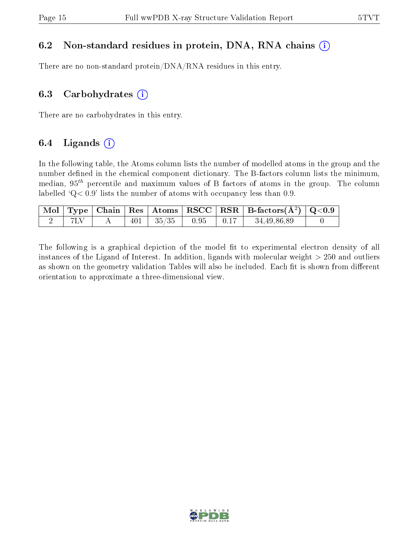### 6.2 Non-standard residues in protein, DNA, RNA chains  $(i)$

There are no non-standard protein/DNA/RNA residues in this entry.

#### 6.3 Carbohydrates  $(i)$

There are no carbohydrates in this entry.

### 6.4 Ligands  $(i)$

In the following table, the Atoms column lists the number of modelled atoms in the group and the number defined in the chemical component dictionary. The B-factors column lists the minimum, median,  $95<sup>th</sup>$  percentile and maximum values of B factors of atoms in the group. The column labelled  $Q < 0.9$ ' lists the number of atoms with occupancy less than 0.9.

|  |  |                 |      |                                                      | $\boxed{\text{ Mol} \mid \text{Type} \mid \text{Chain} \mid \text{Res} \mid \text{Atoms} \mid \text{RSCC} \mid \text{RSR} \mid \text{B-factors}(\AA^2) \mid \text{Q}<0.9}$ |  |
|--|--|-----------------|------|------------------------------------------------------|----------------------------------------------------------------------------------------------------------------------------------------------------------------------------|--|
|  |  | $401$   $35/35$ | 0.95 | $\begin{array}{c} \begin{array}{c} \end{array}$ 0.17 | 34,49,86,89                                                                                                                                                                |  |

The following is a graphical depiction of the model fit to experimental electron density of all instances of the Ligand of Interest. In addition, ligands with molecular weight  $> 250$  and outliers as shown on the geometry validation Tables will also be included. Each fit is shown from different orientation to approximate a three-dimensional view.